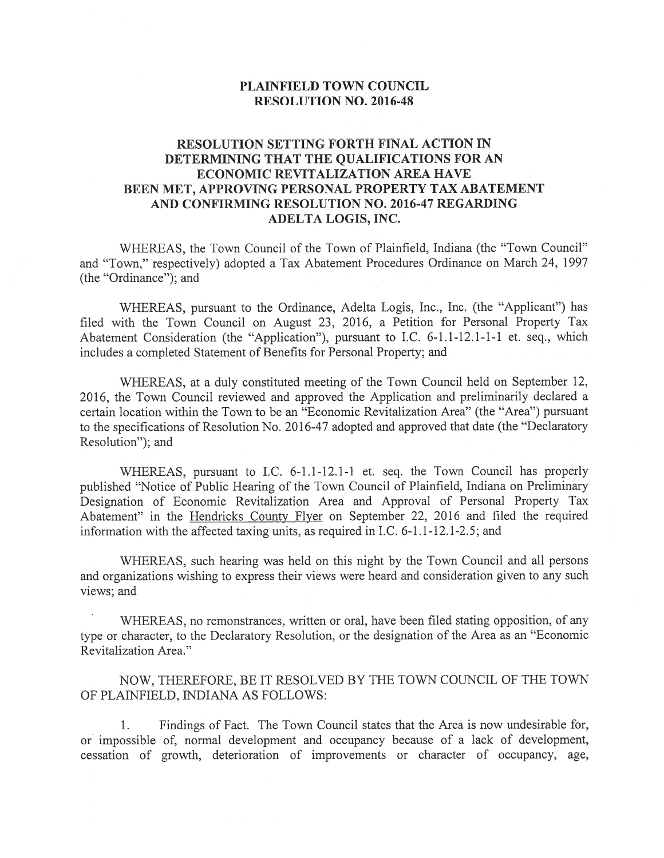## PLAINFIELD TOWN COUNCIL RESOLUTION NO. 2016-48

## RESOLUTION SETTING FORTH FINAL ACTION IN DETERMINING THAT THE QUALIFICATIONS FOR AN ECONOMIC REVITALIZATION AREA HAVE BEEN MET, APPROVING PERSONAL PROPERTY TAX ABATEMENT AND CONFIRMING RESOLUTION NO. 2016-47 REGARDING ADELTA LOGIS, INC.

WHEREAS, the Town Council of the Town of Plainfield, Indiana (the "Town Council" and "Town," respectively) adopted <sup>a</sup> Tax Abatement Procedures Ordinance on March 24, 1997 (the "Ordinance"); and

WHEREAS, pursuan<sup>t</sup> to the Ordinance, Adelta Logis, Inc., Inc. (the "Applicant") has filed with the Town Council on August 23, 2016, <sup>a</sup> Petition for Personal Property Tax Abatement Consideration (the "Application"), pursuan<sup>t</sup> to I.C. 6-1.1-12.1-1-1 et. seq., which includes <sup>a</sup> completed Statement of Benefits for Personal Property; and

WHEREAS, at <sup>a</sup> duly constituted meeting of the Town Council held on September 12, 2016, the Town Council reviewed and approved the Application and preliminarily declared <sup>a</sup> certain location within the Town to be an "Economic Revitalization Area" (the "Area") pursuan<sup>t</sup> to the specifications of Resolution No. 2016-47 adopted and approved that date (the "Declaratory Resolution"); and

WHEREAS, pursuan<sup>t</sup> to I.C. 6-1.1-12.1-1 et. seq. the Town Council has properly published "Notice of Public Hearing of the Town Council of Plainfield, Indiana on Preliminary Designation of Economic Revitalization Area and Approval of Personal Property Tax Abatement" in the Hendricks County Flyer on September 22, 2016 and filed the required information with the affected taxing units, as required in I.C. 6-1.1-12.1-2.5; and

WHEREAS, such hearing was held on this night by the Town Council and all persons and organizations wishing to express their views were heard and consideration <sup>g</sup>iven to any such views; and

WHEREAS, no remonstrances, written or oral, have been filed stating opposition, of any type or character, to the Declaratory Resolution, or the designation of the Area as an "Economic Revitalization Area."

NOW, THEREFORE, BE IT RESOLVED BY THE TOWN COUNCIL OF THE TOWN OF PLANFIELD, INDIANA AS FOLLOWS:

1. Findings of Fact. The Town Council states that the Area is now undesirable for, or impossible of, normal development and occupancy because of <sup>a</sup> lack of development, cessation of growth, deterioration of improvements or character of occupancy, age,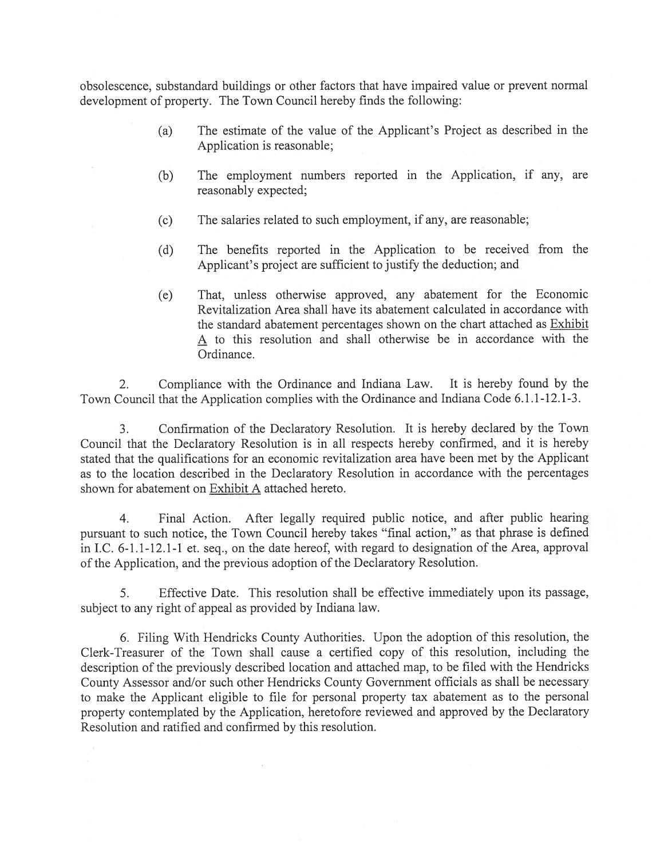obsolescence, substandard buildings or other factors that have impaired value or preven<sup>t</sup> normal development of property. The Town Council hereby finds the following:

- (a) The estimate of the value of the Applicant's Project as described in the Application is reasonable;
- (b) The employment numbers reported in the Application, if any, are reasonably expected;
- (c) The salaries related to such employment, if any, are reasonable;
- (d) The benefits reported in the Application to be received from the Applicant's project are sufficient to justify the deduction; and
- (e) That, unless otherwise approved, any abatement for the Economic Revitalization Area shall have its abatement calculated in accordance with the standard abatement percentages shown on the chart attached as Exhibit A to this resolution and shall otherwise be in accordance with the Ordinance.

2. Compliance with the Ordinance and Indiana Law. It is hereby found by the Town Council that the Application complies with the Ordinance and Indiana Code 6.1.1-12.1-3.

3. Confirmation of the Declaratory Resolution. It is hereby declared by the Town Council that the Declaratory Resolution is in all respects hereby confirmed, and it is hereby stated that the qualifications for an economic revitalization area have been met by the Applicant as to the location described in the Declaratory Resolution in accordance with the percentages shown for abatement on Exhibit A attached hereto.

4. Final Action. Afier legally required public notice, and afier public hearing pursuan<sup>t</sup> to such notice, the Town Council hereby takes "final action," as that <sup>p</sup>hrase is defined in I.C. 6-1.1-12.1-1 et. seq., on the date hereof, with regard to designation of the Area, approva<sup>l</sup> of the Application, and the previous adoption of the Declaratory Resolution.

5. Effective Date. This resolution shall be effective immediately upon its passage, subject to any right of appeal as provided by Indiana law.

6. Filing With Hendricks County Authorities. Upon the adoption of this resolution, the Clerk-Treasurer of the Town shall cause <sup>a</sup> certified copy of this resolution, including the description of the previously described location and attached map, to be filed with the Hendricks County Assessor and/or such other Hendricks County Government officials as shall be necessary to make the Applicant eligible to file for persona<sup>l</sup> property tax abatement as to the persona<sup>l</sup> property contemplated by the Application, heretofore reviewed and approved by the Declaratory Resolution and ratified and confirmed by this resolution.